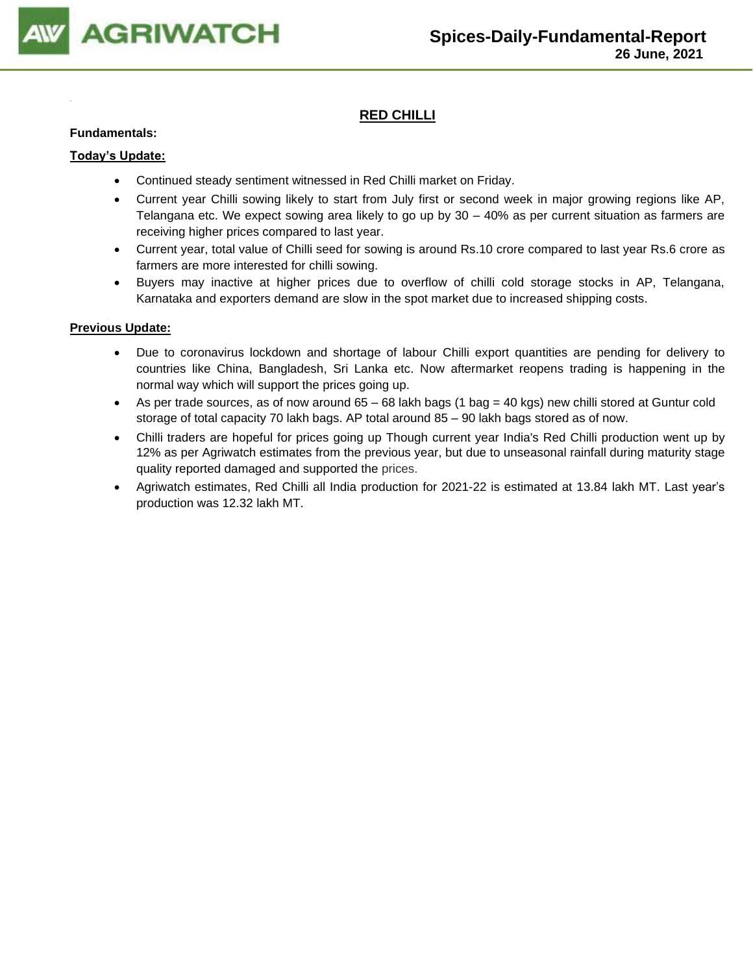

# **RED CHILLI**

#### **Fundamentals:**

#### **Today's Update:**

- Continued steady sentiment witnessed in Red Chilli market on Friday.
- Current year Chilli sowing likely to start from July first or second week in major growing regions like AP, Telangana etc. We expect sowing area likely to go up by 30 – 40% as per current situation as farmers are receiving higher prices compared to last year.
- Current year, total value of Chilli seed for sowing is around Rs.10 crore compared to last year Rs.6 crore as farmers are more interested for chilli sowing.
- Buyers may inactive at higher prices due to overflow of chilli cold storage stocks in AP, Telangana, Karnataka and exporters demand are slow in the spot market due to increased shipping costs.

- Due to coronavirus lockdown and shortage of labour Chilli export quantities are pending for delivery to countries like China, Bangladesh, Sri Lanka etc. Now aftermarket reopens trading is happening in the normal way which will support the prices going up.
- As per trade sources, as of now around 65 68 lakh bags (1 bag = 40 kgs) new chilli stored at Guntur cold storage of total capacity 70 lakh bags. AP total around 85 – 90 lakh bags stored as of now.
- Chilli traders are hopeful for prices going up Though current year India's Red Chilli production went up by 12% as per Agriwatch estimates from the previous year, but due to unseasonal rainfall during maturity stage quality reported damaged and supported the prices.
- Agriwatch estimates, Red Chilli all India production for 2021-22 is estimated at 13.84 lakh MT. Last year's production was 12.32 lakh MT.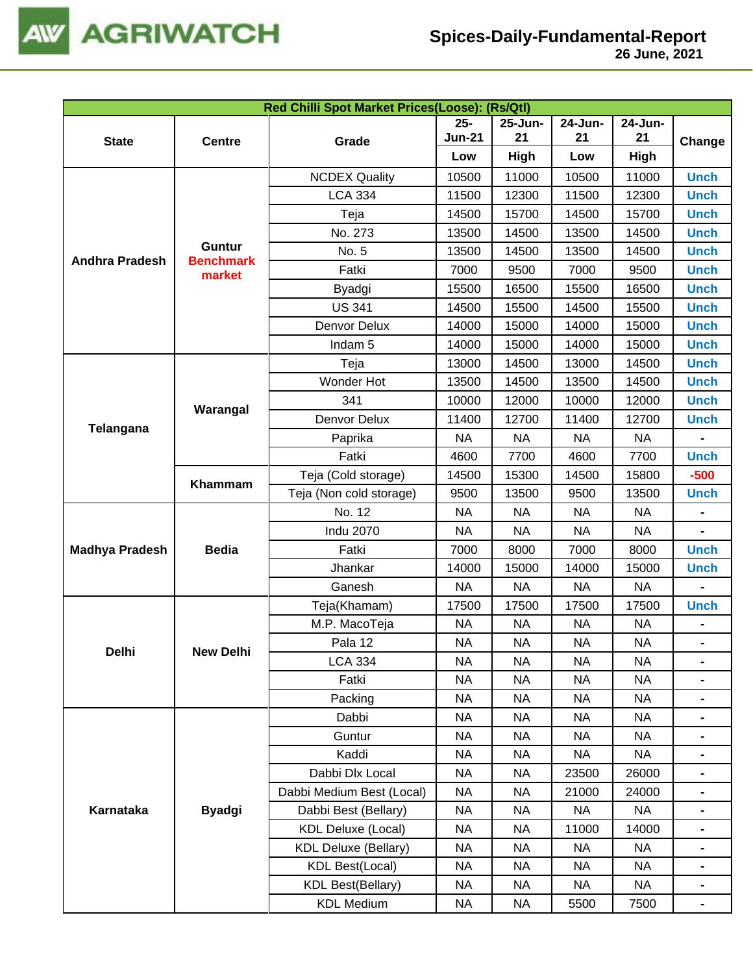

| Red Chilli Spot Market Prices(Loose): (Rs/Qtl) |                                   |                             |               |             |           |           |                                                                                                                                                                                                                                                                                                                                                                                                                                                                                                    |  |
|------------------------------------------------|-----------------------------------|-----------------------------|---------------|-------------|-----------|-----------|----------------------------------------------------------------------------------------------------------------------------------------------------------------------------------------------------------------------------------------------------------------------------------------------------------------------------------------------------------------------------------------------------------------------------------------------------------------------------------------------------|--|
|                                                |                                   |                             | $25 -$        | 25-Jun-     | 24-Jun-   | 24-Jun-   |                                                                                                                                                                                                                                                                                                                                                                                                                                                                                                    |  |
| <b>State</b>                                   | <b>Centre</b>                     | Grade                       | <b>Jun-21</b> | 21          | 21        | 21        | Change<br><b>Unch</b><br><b>Unch</b><br><b>Unch</b><br><b>Unch</b><br><b>Unch</b><br><b>Unch</b><br><b>Unch</b><br><b>Unch</b><br><b>Unch</b><br><b>Unch</b><br><b>Unch</b><br><b>Unch</b><br><b>Unch</b><br><b>Unch</b><br>$\blacksquare$<br><b>Unch</b><br>$-500$<br><b>Unch</b><br><b>Unch</b><br><b>Unch</b><br>$\blacksquare$<br><b>Unch</b><br>$\blacksquare$<br>-<br>$\blacksquare$<br>$\qquad \qquad \blacksquare$<br>$\blacksquare$<br>$\blacksquare$<br>$\blacksquare$<br>$\blacksquare$ |  |
|                                                |                                   |                             | Low           | <b>High</b> | Low       | High      |                                                                                                                                                                                                                                                                                                                                                                                                                                                                                                    |  |
|                                                |                                   | <b>NCDEX Quality</b>        | 10500         | 11000       | 10500     | 11000     |                                                                                                                                                                                                                                                                                                                                                                                                                                                                                                    |  |
|                                                |                                   | <b>LCA 334</b>              | 11500         | 12300       | 11500     | 12300     | $\blacksquare$                                                                                                                                                                                                                                                                                                                                                                                                                                                                                     |  |
|                                                |                                   | Teja                        | 14500         | 15700       | 14500     | 15700     |                                                                                                                                                                                                                                                                                                                                                                                                                                                                                                    |  |
|                                                |                                   | No. 273                     | 13500         | 14500       | 13500     | 14500     |                                                                                                                                                                                                                                                                                                                                                                                                                                                                                                    |  |
| <b>Andhra Pradesh</b>                          | <b>Guntur</b><br><b>Benchmark</b> | No. 5                       | 13500         | 14500       | 13500     | 14500     |                                                                                                                                                                                                                                                                                                                                                                                                                                                                                                    |  |
|                                                | market                            | Fatki                       | 7000          | 9500        | 7000      | 9500      |                                                                                                                                                                                                                                                                                                                                                                                                                                                                                                    |  |
|                                                |                                   | Byadgi                      | 15500         | 16500       | 15500     | 16500     |                                                                                                                                                                                                                                                                                                                                                                                                                                                                                                    |  |
|                                                |                                   | <b>US 341</b>               | 14500         | 15500       | 14500     | 15500     |                                                                                                                                                                                                                                                                                                                                                                                                                                                                                                    |  |
|                                                |                                   | Denvor Delux                | 14000         | 15000       | 14000     | 15000     |                                                                                                                                                                                                                                                                                                                                                                                                                                                                                                    |  |
|                                                |                                   | Indam <sub>5</sub>          | 14000         | 15000       | 14000     | 15000     |                                                                                                                                                                                                                                                                                                                                                                                                                                                                                                    |  |
|                                                |                                   | Teja                        | 13000         | 14500       | 13000     | 14500     |                                                                                                                                                                                                                                                                                                                                                                                                                                                                                                    |  |
|                                                |                                   | Wonder Hot                  | 13500         | 14500       | 13500     | 14500     |                                                                                                                                                                                                                                                                                                                                                                                                                                                                                                    |  |
| Telangana                                      |                                   | 341                         | 10000         | 12000       | 10000     | 12000     |                                                                                                                                                                                                                                                                                                                                                                                                                                                                                                    |  |
|                                                | Warangal                          | Denvor Delux                | 11400         | 12700       | 11400     | 12700     |                                                                                                                                                                                                                                                                                                                                                                                                                                                                                                    |  |
|                                                |                                   | Paprika                     | <b>NA</b>     | <b>NA</b>   | <b>NA</b> | <b>NA</b> |                                                                                                                                                                                                                                                                                                                                                                                                                                                                                                    |  |
|                                                |                                   | Fatki                       | 4600          | 7700        | 4600      | 7700      |                                                                                                                                                                                                                                                                                                                                                                                                                                                                                                    |  |
|                                                |                                   | Teja (Cold storage)         | 14500         | 15300       | 14500     | 15800     | $\blacksquare$                                                                                                                                                                                                                                                                                                                                                                                                                                                                                     |  |
|                                                | Khammam                           | Teja (Non cold storage)     | 9500          | 13500       | 9500      | 13500     |                                                                                                                                                                                                                                                                                                                                                                                                                                                                                                    |  |
|                                                |                                   | No. 12                      | <b>NA</b>     | <b>NA</b>   | <b>NA</b> | <b>NA</b> |                                                                                                                                                                                                                                                                                                                                                                                                                                                                                                    |  |
|                                                |                                   | <b>Indu 2070</b>            | <b>NA</b>     | <b>NA</b>   | <b>NA</b> | <b>NA</b> |                                                                                                                                                                                                                                                                                                                                                                                                                                                                                                    |  |
| <b>Madhya Pradesh</b>                          | <b>Bedia</b>                      | Fatki                       | 7000          | 8000        | 7000      | 8000      |                                                                                                                                                                                                                                                                                                                                                                                                                                                                                                    |  |
|                                                |                                   | Jhankar                     | 14000         | 15000       | 14000     | 15000     |                                                                                                                                                                                                                                                                                                                                                                                                                                                                                                    |  |
|                                                |                                   | Ganesh                      | <b>NA</b>     | <b>NA</b>   | <b>NA</b> | <b>NA</b> |                                                                                                                                                                                                                                                                                                                                                                                                                                                                                                    |  |
|                                                |                                   | Teja(Khamam)                | 17500         | 17500       | 17500     | 17500     |                                                                                                                                                                                                                                                                                                                                                                                                                                                                                                    |  |
|                                                |                                   | M.P. MacoTeja               | <b>NA</b>     | <b>NA</b>   | <b>NA</b> | <b>NA</b> |                                                                                                                                                                                                                                                                                                                                                                                                                                                                                                    |  |
|                                                |                                   | Pala 12                     | <b>NA</b>     | <b>NA</b>   | <b>NA</b> | <b>NA</b> |                                                                                                                                                                                                                                                                                                                                                                                                                                                                                                    |  |
| Delhi                                          | <b>New Delhi</b>                  | <b>LCA 334</b>              | <b>NA</b>     | <b>NA</b>   | <b>NA</b> | <b>NA</b> |                                                                                                                                                                                                                                                                                                                                                                                                                                                                                                    |  |
|                                                |                                   | Fatki                       | NA            | <b>NA</b>   | <b>NA</b> | <b>NA</b> |                                                                                                                                                                                                                                                                                                                                                                                                                                                                                                    |  |
|                                                |                                   | Packing                     | <b>NA</b>     | <b>NA</b>   | <b>NA</b> | <b>NA</b> |                                                                                                                                                                                                                                                                                                                                                                                                                                                                                                    |  |
|                                                |                                   | Dabbi                       | <b>NA</b>     | <b>NA</b>   | <b>NA</b> | <b>NA</b> |                                                                                                                                                                                                                                                                                                                                                                                                                                                                                                    |  |
|                                                |                                   | Guntur                      | <b>NA</b>     | <b>NA</b>   | <b>NA</b> | <b>NA</b> |                                                                                                                                                                                                                                                                                                                                                                                                                                                                                                    |  |
|                                                |                                   | Kaddi                       | <b>NA</b>     | <b>NA</b>   | <b>NA</b> | NA        |                                                                                                                                                                                                                                                                                                                                                                                                                                                                                                    |  |
|                                                |                                   | Dabbi Dlx Local             | <b>NA</b>     | <b>NA</b>   | 23500     | 26000     |                                                                                                                                                                                                                                                                                                                                                                                                                                                                                                    |  |
|                                                |                                   | Dabbi Medium Best (Local)   | <b>NA</b>     | <b>NA</b>   | 21000     | 24000     |                                                                                                                                                                                                                                                                                                                                                                                                                                                                                                    |  |
| Karnataka                                      | <b>Byadgi</b>                     | Dabbi Best (Bellary)        | <b>NA</b>     | <b>NA</b>   | <b>NA</b> | <b>NA</b> |                                                                                                                                                                                                                                                                                                                                                                                                                                                                                                    |  |
|                                                |                                   | <b>KDL Deluxe (Local)</b>   | NA            | <b>NA</b>   | 11000     | 14000     |                                                                                                                                                                                                                                                                                                                                                                                                                                                                                                    |  |
|                                                |                                   | <b>KDL Deluxe (Bellary)</b> | <b>NA</b>     | <b>NA</b>   | <b>NA</b> | <b>NA</b> |                                                                                                                                                                                                                                                                                                                                                                                                                                                                                                    |  |
|                                                |                                   | <b>KDL Best(Local)</b>      | NA            | <b>NA</b>   | <b>NA</b> | <b>NA</b> |                                                                                                                                                                                                                                                                                                                                                                                                                                                                                                    |  |
|                                                |                                   | <b>KDL Best(Bellary)</b>    | NA            | <b>NA</b>   | <b>NA</b> | NA        |                                                                                                                                                                                                                                                                                                                                                                                                                                                                                                    |  |
|                                                |                                   | <b>KDL Medium</b>           | <b>NA</b>     | <b>NA</b>   | 5500      | 7500      |                                                                                                                                                                                                                                                                                                                                                                                                                                                                                                    |  |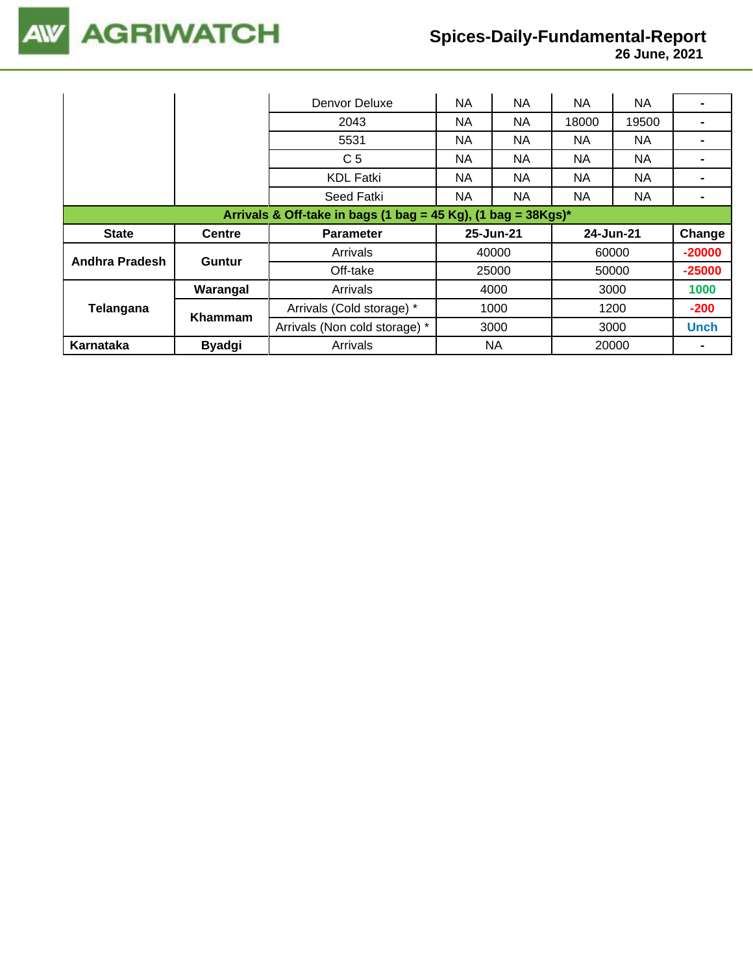

|                                                                  |                | Denvor Deluxe                 | <b>NA</b> | NA        | NA        | <b>NA</b> |             |  |  |
|------------------------------------------------------------------|----------------|-------------------------------|-----------|-----------|-----------|-----------|-------------|--|--|
|                                                                  |                | 2043                          | NA.       | NA        | 18000     | 19500     |             |  |  |
|                                                                  |                | 5531                          | NA.       | NA        | <b>NA</b> | NA.       |             |  |  |
|                                                                  |                | C <sub>5</sub>                | NA.       | NA.       | NA.       | NA.       |             |  |  |
|                                                                  |                | <b>KDL Fatki</b>              | NA.       | NA.       | NA.       | <b>NA</b> |             |  |  |
|                                                                  |                | Seed Fatki                    | <b>NA</b> | NA        | NA        | NA.       |             |  |  |
| Arrivals & Off-take in bags (1 bag = 45 Kg), (1 bag = $38Kgs$ )* |                |                               |           |           |           |           |             |  |  |
|                                                                  |                |                               |           |           |           |           |             |  |  |
| <b>State</b>                                                     | <b>Centre</b>  | <b>Parameter</b>              |           | 25-Jun-21 |           | 24-Jun-21 | Change      |  |  |
|                                                                  |                | Arrivals                      |           | 40000     |           | 60000     | $-20000$    |  |  |
| Andhra Pradesh                                                   | <b>Guntur</b>  | Off-take                      |           | 25000     |           | 50000     | $-25000$    |  |  |
|                                                                  | Warangal       | Arrivals                      |           | 4000      |           | 3000      | 1000        |  |  |
| Telangana                                                        |                | Arrivals (Cold storage) *     |           | 1000      |           | 1200      | $-200$      |  |  |
|                                                                  | <b>Khammam</b> | Arrivals (Non cold storage) * |           | 3000      |           | 3000      | <b>Unch</b> |  |  |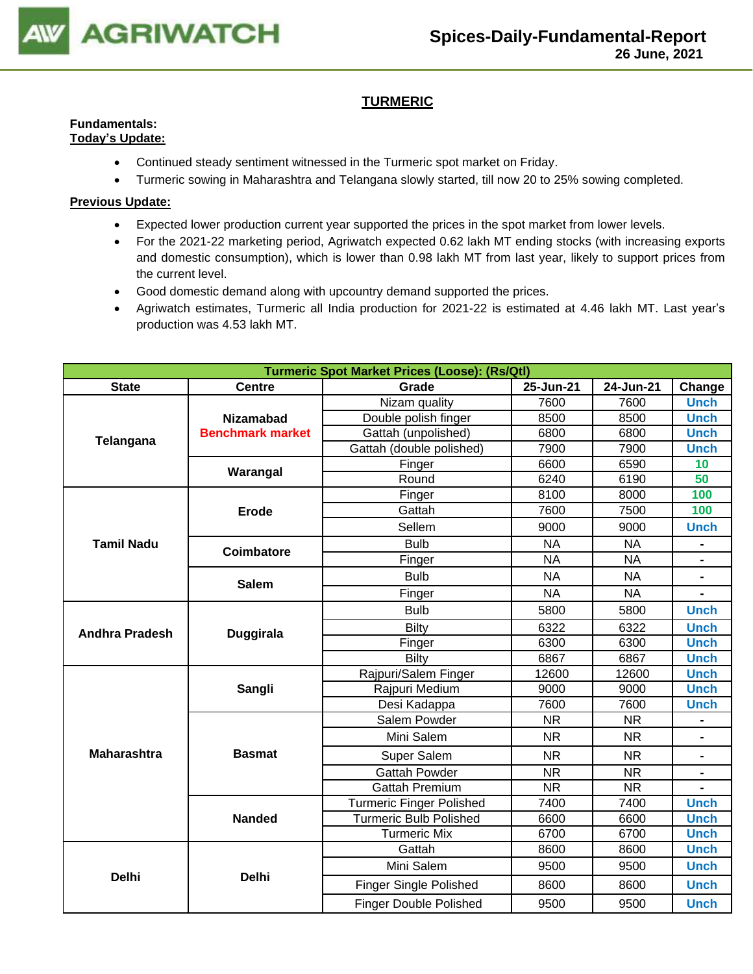

# **TURMERIC**

# **Fundamentals:**

# **Today's Update:**

- Continued steady sentiment witnessed in the Turmeric spot market on Friday.
- Turmeric sowing in Maharashtra and Telangana slowly started, till now 20 to 25% sowing completed.

- Expected lower production current year supported the prices in the spot market from lower levels.
- For the 2021-22 marketing period, Agriwatch expected 0.62 lakh MT ending stocks (with increasing exports and domestic consumption), which is lower than 0.98 lakh MT from last year, likely to support prices from the current level.
- Good domestic demand along with upcountry demand supported the prices.
- Agriwatch estimates, Turmeric all India production for 2021-22 is estimated at 4.46 lakh MT. Last year's production was 4.53 lakh MT.

| <b>Turmeric Spot Market Prices (Loose): (Rs/Qtl)</b> |                         |                                               |           |                |                              |  |  |
|------------------------------------------------------|-------------------------|-----------------------------------------------|-----------|----------------|------------------------------|--|--|
| <b>State</b>                                         | <b>Centre</b>           | Grade                                         | 25-Jun-21 | 24-Jun-21      | Change                       |  |  |
|                                                      |                         | Nizam quality                                 | 7600      | 7600           | <b>Unch</b>                  |  |  |
|                                                      | <b>Nizamabad</b>        | Double polish finger                          | 8500      | 8500           | <b>Unch</b>                  |  |  |
| Telangana                                            | <b>Benchmark market</b> | Gattah (unpolished)                           | 6800      | 6800           | <b>Unch</b>                  |  |  |
|                                                      |                         | Gattah (double polished)                      | 7900      | 7900           | <b>Unch</b>                  |  |  |
|                                                      | Warangal                | Finger                                        | 6600      | 6590           | 10                           |  |  |
|                                                      |                         | Round                                         | 6240      | 6190           | 50                           |  |  |
|                                                      |                         | Finger                                        | 8100      | 8000           | 100                          |  |  |
|                                                      | <b>Erode</b>            | Gattah                                        | 7600      | 7500           | 100                          |  |  |
|                                                      |                         | Sellem                                        | 9000      | 9000           | <b>Unch</b>                  |  |  |
| <b>Tamil Nadu</b>                                    | <b>Coimbatore</b>       | <b>Bulb</b>                                   | <b>NA</b> | <b>NA</b>      | $\qquad \qquad \blacksquare$ |  |  |
|                                                      |                         | Finger                                        | <b>NA</b> | <b>NA</b>      | $\blacksquare$               |  |  |
|                                                      | <b>Salem</b>            | <b>Bulb</b>                                   | <b>NA</b> | <b>NA</b>      |                              |  |  |
|                                                      |                         | Finger                                        | <b>NA</b> | <b>NA</b>      |                              |  |  |
|                                                      |                         | <b>Bulb</b>                                   | 5800      | 5800           | <b>Unch</b>                  |  |  |
| <b>Andhra Pradesh</b>                                | <b>Duggirala</b>        | Bilty                                         | 6322      | 6322           | <b>Unch</b>                  |  |  |
|                                                      |                         | Finger                                        | 6300      | 6300           | <b>Unch</b>                  |  |  |
|                                                      |                         | <b>Bilty</b>                                  | 6867      | 6867           | <b>Unch</b>                  |  |  |
|                                                      |                         | Rajpuri/Salem Finger                          | 12600     | 12600          | <b>Unch</b>                  |  |  |
|                                                      | Sangli                  | Rajpuri Medium                                | 9000      | 9000           | <b>Unch</b>                  |  |  |
|                                                      |                         | Desi Kadappa                                  | 7600      | 7600           | <b>Unch</b>                  |  |  |
|                                                      |                         | Salem Powder                                  | <b>NR</b> | <b>NR</b>      |                              |  |  |
|                                                      |                         | Mini Salem                                    | <b>NR</b> | <b>NR</b>      | $\blacksquare$               |  |  |
| <b>Maharashtra</b>                                   | <b>Basmat</b>           | Super Salem                                   | <b>NR</b> | <b>NR</b>      |                              |  |  |
|                                                      |                         | <b>Gattah Powder</b>                          | <b>NR</b> | $\blacksquare$ |                              |  |  |
|                                                      |                         | <b>Gattah Premium</b>                         | <b>NR</b> | <b>NR</b>      |                              |  |  |
|                                                      |                         | <b>Turmeric Finger Polished</b>               | 7400      | 7400           | <b>Unch</b><br><b>Unch</b>   |  |  |
|                                                      | <b>Nanded</b>           | <b>Turmeric Bulb Polished</b><br>6600<br>6600 |           |                |                              |  |  |
|                                                      |                         | <b>Turmeric Mix</b>                           | 6700      | 6700           | <b>Unch</b>                  |  |  |
|                                                      |                         | Gattah                                        | 8600      | 8600           | <b>Unch</b>                  |  |  |
| <b>Delhi</b>                                         | <b>Delhi</b>            | Mini Salem                                    | 9500      | 9500           | <b>Unch</b>                  |  |  |
|                                                      |                         | <b>Finger Single Polished</b>                 | 8600      | 8600           | <b>Unch</b>                  |  |  |
|                                                      |                         | <b>Finger Double Polished</b>                 | 9500      | 9500           | <b>Unch</b>                  |  |  |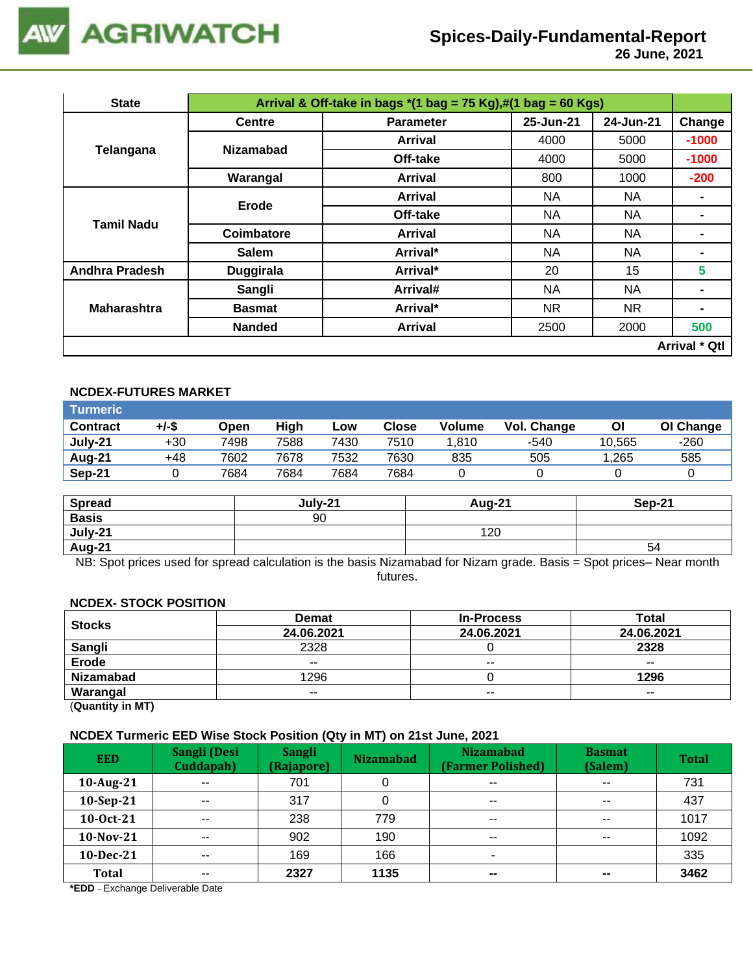

 **26 June, 2021**

| <b>State</b>          | Arrival & Off-take in bags $*(1 \text{ bag} = 75 \text{ Kg}),\#(1 \text{ bag} = 60 \text{ Kg})$ |                  |           |           |                      |  |  |  |
|-----------------------|-------------------------------------------------------------------------------------------------|------------------|-----------|-----------|----------------------|--|--|--|
|                       | <b>Centre</b>                                                                                   | <b>Parameter</b> | 25-Jun-21 | 24-Jun-21 | Change               |  |  |  |
|                       | <b>Nizamabad</b>                                                                                | Arrival          | 4000      | 5000      | $-1000$              |  |  |  |
| Telangana             |                                                                                                 | Off-take         | 4000      | 5000      | $-1000$              |  |  |  |
|                       | Warangal                                                                                        | Arrival          | 800       | 1000      | $-200$               |  |  |  |
|                       | Erode                                                                                           | Arrival          | <b>NA</b> | <b>NA</b> | $\blacksquare$       |  |  |  |
| Tamil Nadu            |                                                                                                 | Off-take         | NA.       | NA        |                      |  |  |  |
|                       | Coimbatore                                                                                      | Arrival          | <b>NA</b> | NA        |                      |  |  |  |
|                       | <b>Salem</b>                                                                                    | Arrival*         | <b>NA</b> | <b>NA</b> |                      |  |  |  |
| <b>Andhra Pradesh</b> | <b>Duggirala</b>                                                                                | Arrival*         | 20        | 15        | 5                    |  |  |  |
|                       | Sangli                                                                                          | Arrival#         | <b>NA</b> | <b>NA</b> |                      |  |  |  |
| <b>Maharashtra</b>    | <b>Basmat</b>                                                                                   | Arrival*         | <b>NR</b> | NR.       | -                    |  |  |  |
|                       | <b>Nanded</b>                                                                                   | <b>Arrival</b>   | 2500      | 2000      | 500                  |  |  |  |
|                       |                                                                                                 |                  |           |           | <b>Arrival * Qtl</b> |  |  |  |

## **NCDEX-FUTURES MARKET**

| <b>Turmeric</b> |       |      |      |      |       |               |             |        |           |
|-----------------|-------|------|------|------|-------|---------------|-------------|--------|-----------|
| <b>Contract</b> | +/-\$ | Open | High | Low  | Close | <b>Volume</b> | Vol. Change | Οl     | OI Change |
| July-21         | $+30$ | 7498 | 7588 | 7430 | 7510  | 1.810         | -540        | 10.565 | $-260$    |
| Aug-21          | +48   | 7602 | 7678 | 7532 | 7630  | 835           | 505         | 1,265  | 585       |
| <b>Sep-21</b>   |       | 7684 | 7684 | 7684 | 7684  |               |             |        |           |

| <b>Spread</b> | July-21 | Aug-21 | Sep-21 |
|---------------|---------|--------|--------|
| <b>Basis</b>  | 90      |        |        |
| July-21       |         | 120    |        |
| Aug-21        |         |        | 54     |

NB: Spot prices used for spread calculation is the basis Nizamabad for Nizam grade. Basis = Spot prices– Near month futures.

#### **NCDEX- STOCK POSITION**

| <b>Stocks</b>    | <b>Demat</b> | <b>In-Process</b> | <b>Total</b> |
|------------------|--------------|-------------------|--------------|
|                  | 24.06.2021   | 24.06.2021        | 24.06.2021   |
| <b>Sangli</b>    | 2328         |                   | 2328         |
| <b>Erode</b>     | $- -$        | $- -$             | $- -$        |
| <b>Nizamabad</b> | 1296         |                   | 1296         |
| Warangal         | $- -$        | $- -$             | $- -$        |
|                  |              |                   |              |

(**Quantity in MT)**

#### **NCDEX Turmeric EED Wise Stock Position (Qty in MT) on 21st June, 2021**

| <b>EED</b>  | Sangli (Desi<br>Cuddapah) | <b>Sangli</b><br>(Rajapore) | <b>Nizamabad</b> | <b>Nizamabad</b><br>(Farmer Polished) | <b>Basmat</b><br>(Salem) | <b>Total</b> |
|-------------|---------------------------|-----------------------------|------------------|---------------------------------------|--------------------------|--------------|
| 10-Aug-21   | $\sim$ $\sim$             | 701                         |                  | $\sim$ $\sim$                         | $- -$                    | 731          |
| 10-Sep-21   | $- -$                     | 317                         |                  | $\sim$ $\sim$                         | $- -$                    | 437          |
| 10-0ct-21   | $- -$                     | 238                         | 779              | $\sim$ $\sim$                         | $- -$                    | 1017         |
| $10-Nov-21$ | $\overline{\phantom{a}}$  | 902                         | 190              | $\overline{\phantom{a}}$              | $\sim$ $\sim$            | 1092         |
| 10-Dec-21   | $- -$                     | 169                         | 166              | ۰                                     |                          | 335          |
| Total       | $- -$                     | 2327                        | 1135             | $\sim$                                | $\sim$                   | 3462         |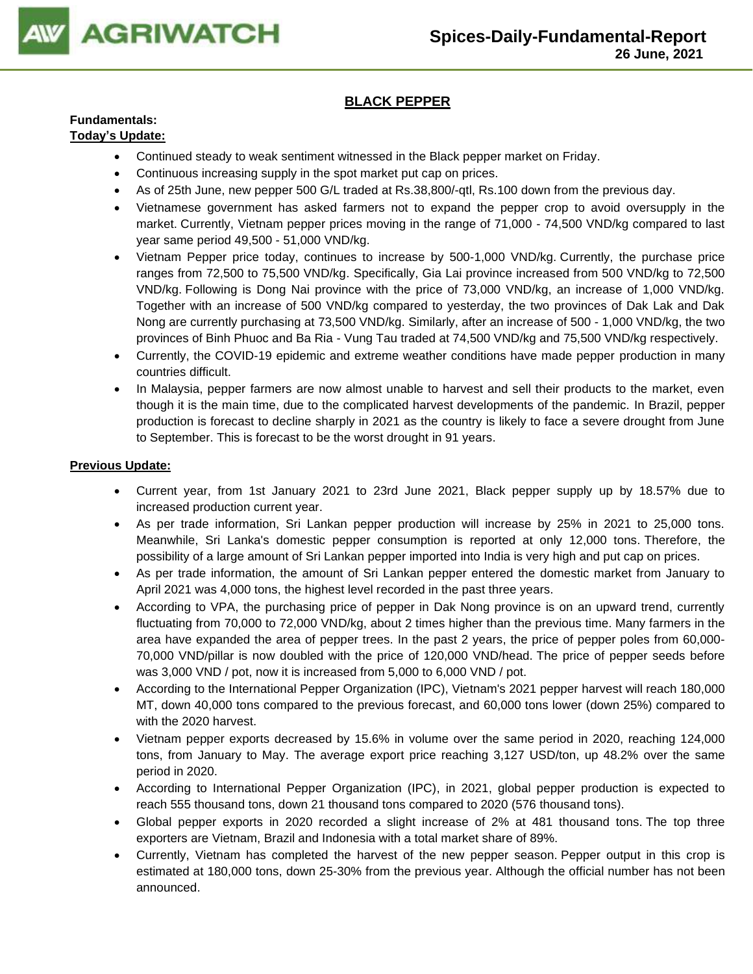

## **BLACK PEPPER**

# **Fundamentals:**

#### **Today's Update:**

- Continued steady to weak sentiment witnessed in the Black pepper market on Friday.
- Continuous increasing supply in the spot market put cap on prices.
- As of 25th June, new pepper 500 G/L traded at Rs.38,800/-qtl, Rs.100 down from the previous day.
- Vietnamese government has asked farmers not to expand the pepper crop to avoid oversupply in the market. Currently, Vietnam pepper prices moving in the range of 71,000 - 74,500 VND/kg compared to last year same period 49,500 - 51,000 VND/kg.
- Vietnam Pepper price today, continues to increase by 500-1,000 VND/kg. Currently, the purchase price ranges from 72,500 to 75,500 VND/kg. Specifically, Gia Lai province increased from 500 VND/kg to 72,500 VND/kg. Following is Dong Nai province with the price of 73,000 VND/kg, an increase of 1,000 VND/kg. Together with an increase of 500 VND/kg compared to yesterday, the two provinces of Dak Lak and Dak Nong are currently purchasing at 73,500 VND/kg. Similarly, after an increase of 500 - 1,000 VND/kg, the two provinces of Binh Phuoc and Ba Ria - Vung Tau traded at 74,500 VND/kg and 75,500 VND/kg respectively.
- Currently, the COVID-19 epidemic and extreme weather conditions have made pepper production in many countries difficult.
- In Malaysia, pepper farmers are now almost unable to harvest and sell their products to the market, even though it is the main time, due to the complicated harvest developments of the pandemic. In Brazil, pepper production is forecast to decline sharply in 2021 as the country is likely to face a severe drought from June to September. This is forecast to be the worst drought in 91 years.

- Current year, from 1st January 2021 to 23rd June 2021, Black pepper supply up by 18.57% due to increased production current year.
- As per trade information, Sri Lankan pepper production will increase by 25% in 2021 to 25,000 tons. Meanwhile, Sri Lanka's domestic pepper consumption is reported at only 12,000 tons. Therefore, the possibility of a large amount of Sri Lankan pepper imported into India is very high and put cap on prices.
- As per trade information, the amount of Sri Lankan pepper entered the domestic market from January to April 2021 was 4,000 tons, the highest level recorded in the past three years.
- According to VPA, the purchasing price of pepper in Dak Nong province is on an upward trend, currently fluctuating from 70,000 to 72,000 VND/kg, about 2 times higher than the previous time. Many farmers in the area have expanded the area of pepper trees. In the past 2 years, the price of pepper poles from 60,000- 70,000 VND/pillar is now doubled with the price of 120,000 VND/head. The price of pepper seeds before was 3,000 VND / pot, now it is increased from 5,000 to 6,000 VND / pot.
- According to the International Pepper Organization (IPC), Vietnam's 2021 pepper harvest will reach 180,000 MT, down 40,000 tons compared to the previous forecast, and 60,000 tons lower (down 25%) compared to with the 2020 harvest.
- Vietnam pepper exports decreased by 15.6% in volume over the same period in 2020, reaching 124,000 tons, from January to May. The average export price reaching 3,127 USD/ton, up 48.2% over the same period in 2020.
- According to International Pepper Organization (IPC), in 2021, global pepper production is expected to reach 555 thousand tons, down 21 thousand tons compared to 2020 (576 thousand tons).
- Global pepper exports in 2020 recorded a slight increase of 2% at 481 thousand tons. The top three exporters are Vietnam, Brazil and Indonesia with a total market share of 89%.
- Currently, Vietnam has completed the harvest of the new pepper season. Pepper output in this crop is estimated at 180,000 tons, down 25-30% from the previous year. Although the official number has not been announced.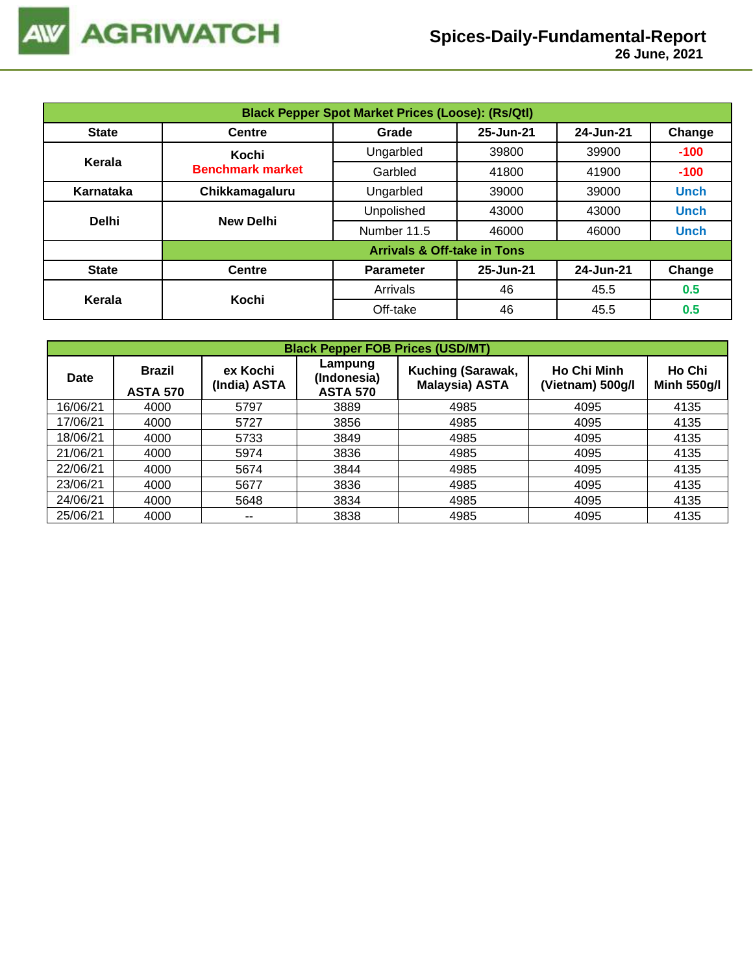**26 June, 2021**

| <b>Black Pepper Spot Market Prices (Loose): (Rs/Qtl)</b> |                         |                                        |           |           |             |  |  |  |
|----------------------------------------------------------|-------------------------|----------------------------------------|-----------|-----------|-------------|--|--|--|
| <b>State</b>                                             | <b>Centre</b>           | 24-Jun-21                              | Change    |           |             |  |  |  |
| Kerala                                                   | Kochi                   | Ungarbled                              | 39800     | 39900     | $-100$      |  |  |  |
|                                                          | <b>Benchmark market</b> | Garbled                                | 41800     | 41900     | $-100$      |  |  |  |
| Karnataka                                                | Chikkamagaluru          | Ungarbled                              | 39000     | 39000     | <b>Unch</b> |  |  |  |
| <b>Delhi</b>                                             | <b>New Delhi</b>        | Unpolished                             | 43000     | 43000     | <b>Unch</b> |  |  |  |
|                                                          |                         | Number 11.5                            | 46000     | 46000     | <b>Unch</b> |  |  |  |
|                                                          |                         | <b>Arrivals &amp; Off-take in Tons</b> |           |           |             |  |  |  |
| <b>State</b>                                             | <b>Centre</b>           | <b>Parameter</b>                       | 25-Jun-21 | 24-Jun-21 | Change      |  |  |  |
| Kerala                                                   | Kochi                   | Arrivals                               | 46        | 45.5      | 0.5         |  |  |  |
|                                                          |                         | Off-take                               | 46        | 45.5      | 0.5         |  |  |  |

| <b>Black Pepper FOB Prices (USD/MT)</b> |                                  |                          |                                           |                                                   |                                        |                              |  |  |  |
|-----------------------------------------|----------------------------------|--------------------------|-------------------------------------------|---------------------------------------------------|----------------------------------------|------------------------------|--|--|--|
| <b>Date</b>                             | <b>Brazil</b><br><b>ASTA 570</b> | ex Kochi<br>(India) ASTA | Lampung<br>(Indonesia)<br><b>ASTA 570</b> | <b>Kuching (Sarawak,</b><br><b>Malaysia) ASTA</b> | <b>Ho Chi Minh</b><br>(Vietnam) 500g/l | Ho Chi<br><b>Minh 550g/l</b> |  |  |  |
| 16/06/21                                | 4000                             | 5797                     | 3889                                      | 4985                                              | 4095                                   | 4135                         |  |  |  |
| 17/06/21                                | 4000                             | 5727                     | 3856                                      | 4985                                              | 4095                                   | 4135                         |  |  |  |
| 18/06/21                                | 4000                             | 5733                     | 3849                                      | 4985                                              | 4095                                   | 4135                         |  |  |  |
| 21/06/21                                | 4000                             | 5974                     | 3836                                      | 4985                                              | 4095                                   | 4135                         |  |  |  |
| 22/06/21                                | 4000                             | 5674                     | 3844                                      | 4985                                              | 4095                                   | 4135                         |  |  |  |
| 23/06/21                                | 4000                             | 5677                     | 3836                                      | 4985                                              | 4095                                   | 4135                         |  |  |  |
| 24/06/21                                | 4000                             | 5648                     | 3834                                      | 4985                                              | 4095                                   | 4135                         |  |  |  |
| 25/06/21                                | 4000                             | --                       | 3838                                      | 4985                                              | 4095                                   | 4135                         |  |  |  |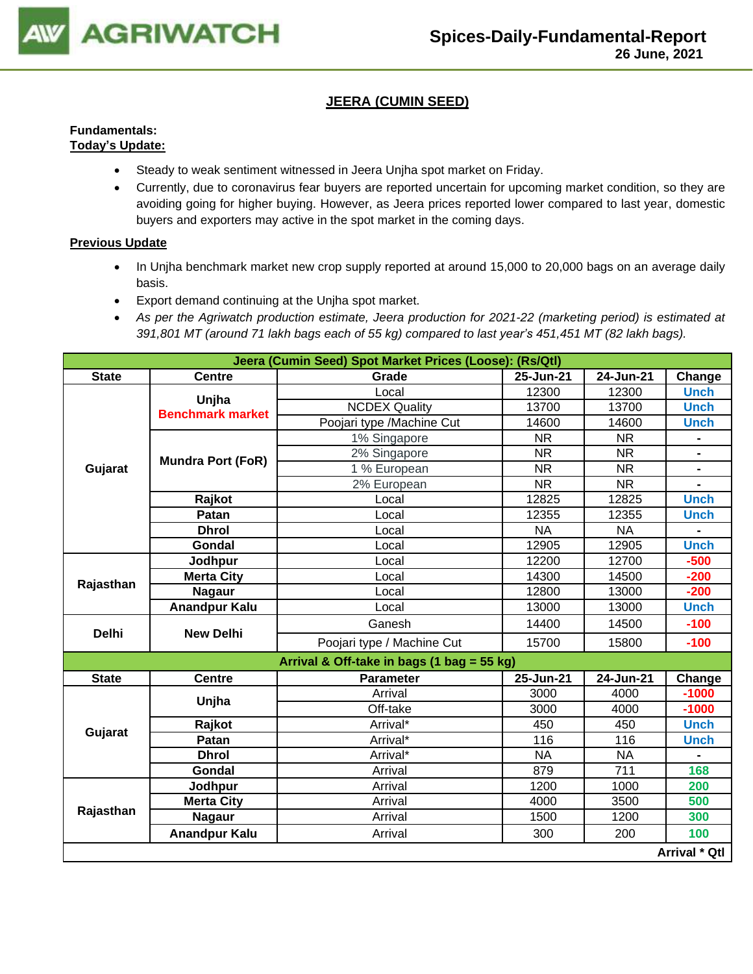

## **JEERA (CUMIN SEED)**

#### **Fundamentals: Today's Update:**

- Steady to weak sentiment witnessed in Jeera Unjha spot market on Friday.
- Currently, due to coronavirus fear buyers are reported uncertain for upcoming market condition, so they are avoiding going for higher buying. However, as Jeera prices reported lower compared to last year, domestic buyers and exporters may active in the spot market in the coming days.

- In Unjha benchmark market new crop supply reported at around 15,000 to 20,000 bags on an average daily basis.
- Export demand continuing at the Unjha spot market.
- *As per the Agriwatch production estimate, Jeera production for 2021-22 (marketing period) is estimated at 391,801 MT (around 71 lakh bags each of 55 kg) compared to last year's 451,451 MT (82 lakh bags).*

| Jeera (Cumin Seed) Spot Market Prices (Loose): (Rs/Qtl) |                                  |                                            |           |           |                      |  |  |  |
|---------------------------------------------------------|----------------------------------|--------------------------------------------|-----------|-----------|----------------------|--|--|--|
| <b>State</b>                                            | <b>Centre</b>                    | Grade                                      | 25-Jun-21 | 24-Jun-21 | Change               |  |  |  |
|                                                         |                                  | Local                                      | 12300     | 12300     | <b>Unch</b>          |  |  |  |
|                                                         | Unjha<br><b>Benchmark market</b> | <b>NCDEX Quality</b>                       | 13700     | 13700     | <b>Unch</b>          |  |  |  |
|                                                         |                                  | Poojari type /Machine Cut                  | 14600     | 14600     | <b>Unch</b>          |  |  |  |
|                                                         |                                  | 1% Singapore                               | <b>NR</b> | <b>NR</b> |                      |  |  |  |
|                                                         | <b>Mundra Port (FoR)</b>         | 2% Singapore                               | <b>NR</b> | <b>NR</b> |                      |  |  |  |
| Gujarat                                                 |                                  | 1 % European                               | <b>NR</b> | <b>NR</b> |                      |  |  |  |
|                                                         |                                  | 2% European                                | <b>NR</b> | <b>NR</b> |                      |  |  |  |
|                                                         | Rajkot                           | Local                                      | 12825     | 12825     | <b>Unch</b>          |  |  |  |
|                                                         | Patan                            | Local                                      | 12355     | 12355     | <b>Unch</b>          |  |  |  |
|                                                         | <b>Dhrol</b>                     | Local                                      | <b>NA</b> | <b>NA</b> |                      |  |  |  |
|                                                         | Gondal                           | Local                                      | 12905     | 12905     | <b>Unch</b>          |  |  |  |
| Rajasthan                                               | Jodhpur                          | Local                                      | 12200     | 12700     | $-500$               |  |  |  |
|                                                         | <b>Merta City</b>                | Local                                      | 14300     | 14500     | $-200$               |  |  |  |
|                                                         | <b>Nagaur</b>                    | Local                                      | 12800     | 13000     | $-200$               |  |  |  |
|                                                         | <b>Anandpur Kalu</b>             | Local                                      | 13000     | 13000     | <b>Unch</b>          |  |  |  |
| <b>Delhi</b>                                            | <b>New Delhi</b>                 | Ganesh                                     | 14400     | 14500     | $-100$               |  |  |  |
|                                                         |                                  | Poojari type / Machine Cut                 | 15700     | 15800     | $-100$               |  |  |  |
|                                                         |                                  | Arrival & Off-take in bags (1 bag = 55 kg) |           |           |                      |  |  |  |
| <b>State</b>                                            | <b>Centre</b>                    | <b>Parameter</b>                           | 25-Jun-21 | 24-Jun-21 | Change               |  |  |  |
|                                                         | Unjha                            | Arrival                                    | 3000      | 4000      | $-1000$              |  |  |  |
|                                                         |                                  | Off-take                                   | 3000      | 4000      | $-1000$              |  |  |  |
| Gujarat                                                 | Rajkot                           | Arrival*                                   | 450       | 450       | <b>Unch</b>          |  |  |  |
|                                                         | Patan                            | Arrival*                                   | 116       | 116       | <b>Unch</b>          |  |  |  |
|                                                         | <b>Dhrol</b>                     | Arrival*                                   | <b>NA</b> | <b>NA</b> |                      |  |  |  |
|                                                         | <b>Gondal</b>                    | Arrival                                    | 879       | 711       | 168                  |  |  |  |
|                                                         | Jodhpur                          | Arrival                                    | 1200      | 1000      | 200                  |  |  |  |
|                                                         | <b>Merta City</b>                | Arrival                                    | 4000      | 3500      | 500                  |  |  |  |
| Rajasthan                                               | <b>Nagaur</b>                    | Arrival                                    | 1500      | 1200      | 300                  |  |  |  |
|                                                         | <b>Anandpur Kalu</b>             | Arrival                                    | 300       | 200       | 100                  |  |  |  |
|                                                         |                                  |                                            |           |           | <b>Arrival * Qtl</b> |  |  |  |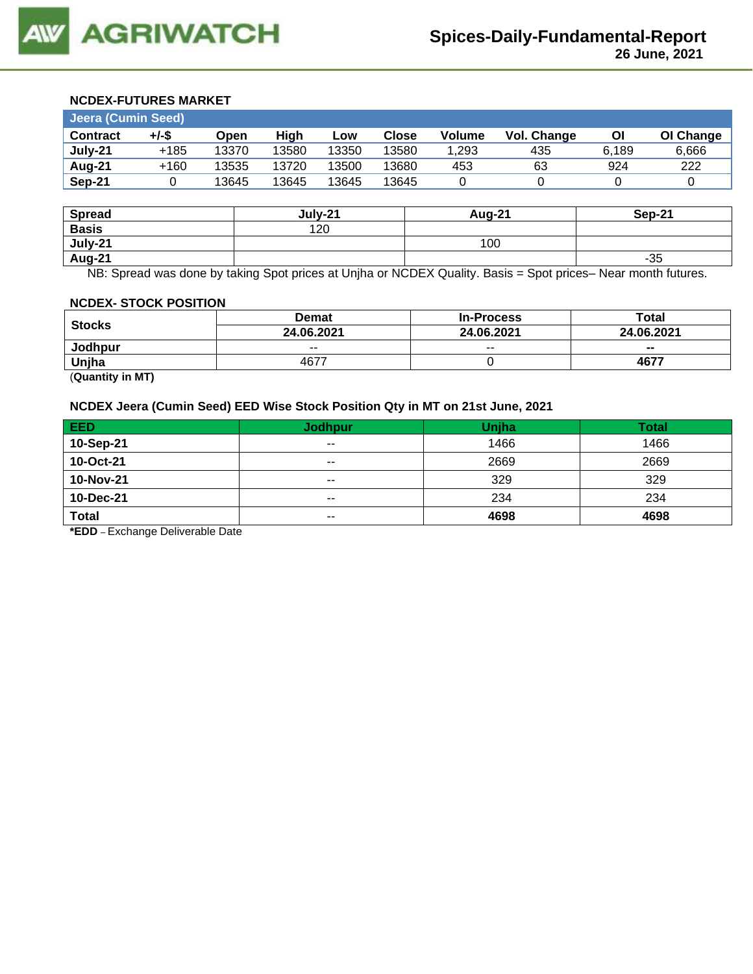#### **NCDEX-FUTURES MARKET**

| <b>Jeera (Cumin Seed)</b> |        |       |       |       |       |        |                    |       |           |
|---------------------------|--------|-------|-------|-------|-------|--------|--------------------|-------|-----------|
| <b>Contract</b>           | +/-\$  | Open  | High  | LOW   | Close | Volume | <b>Vol. Change</b> | ΟI    | OI Change |
| July-21                   | $+185$ | 13370 | 13580 | 13350 | 13580 | 1.293  | 435                | 6.189 | 6.666     |
| Aug-21                    | $+160$ | 13535 | 13720 | 13500 | 13680 | 453    | 63                 | 924   | 222       |
| <b>Sep-21</b>             |        | 13645 | 13645 | 13645 | 13645 |        |                    |       |           |

| <b>Spread</b> | July-21 | <b>Aug-21</b> | Sep-21 |
|---------------|---------|---------------|--------|
| <b>Basis</b>  | 120     |               |        |
| July-21       |         | 100           |        |
| <b>Aug-21</b> |         |               | $-35$  |

NB: Spread was done by taking Spot prices at Unjha or NCDEX Quality. Basis = Spot prices– Near month futures.

## **NCDEX- STOCK POSITION**

| <b>Stocks</b>                                                                                                                                                                                                                                                                                               | <b>Demat</b> | <b>In-Process</b> | Total          |
|-------------------------------------------------------------------------------------------------------------------------------------------------------------------------------------------------------------------------------------------------------------------------------------------------------------|--------------|-------------------|----------------|
|                                                                                                                                                                                                                                                                                                             | 24.06.2021   | 24.06.2021        | 24.06.2021     |
| Jodhpur                                                                                                                                                                                                                                                                                                     | $- -$        | $- -$             | $\blacksquare$ |
| Unjha                                                                                                                                                                                                                                                                                                       | 4677         |                   | 4677           |
| $\mathbf{r}$ , $\mathbf{r}$ , $\mathbf{r}$ , $\mathbf{r}$ , $\mathbf{r}$ , $\mathbf{r}$ , $\mathbf{r}$ , $\mathbf{r}$ , $\mathbf{r}$ , $\mathbf{r}$ , $\mathbf{r}$ , $\mathbf{r}$ , $\mathbf{r}$ , $\mathbf{r}$ , $\mathbf{r}$ , $\mathbf{r}$ , $\mathbf{r}$ , $\mathbf{r}$ , $\mathbf{r}$ , $\mathbf{r}$ , |              |                   |                |

(**Quantity in MT)**

# **NCDEX Jeera (Cumin Seed) EED Wise Stock Position Qty in MT on 21st June, 2021**

| <b>EED</b>   | <b>Jodhpur</b> | <b>Unjha</b> | Total |
|--------------|----------------|--------------|-------|
| 10-Sep-21    | $\sim$ $\sim$  | 1466         | 1466  |
| 10-Oct-21    | $- -$          | 2669         | 2669  |
| 10-Nov-21    | $- -$          | 329          | 329   |
| 10-Dec-21    | $- -$          | 234          | 234   |
| <b>Total</b> | $\sim$ $\sim$  | 4698         | 4698  |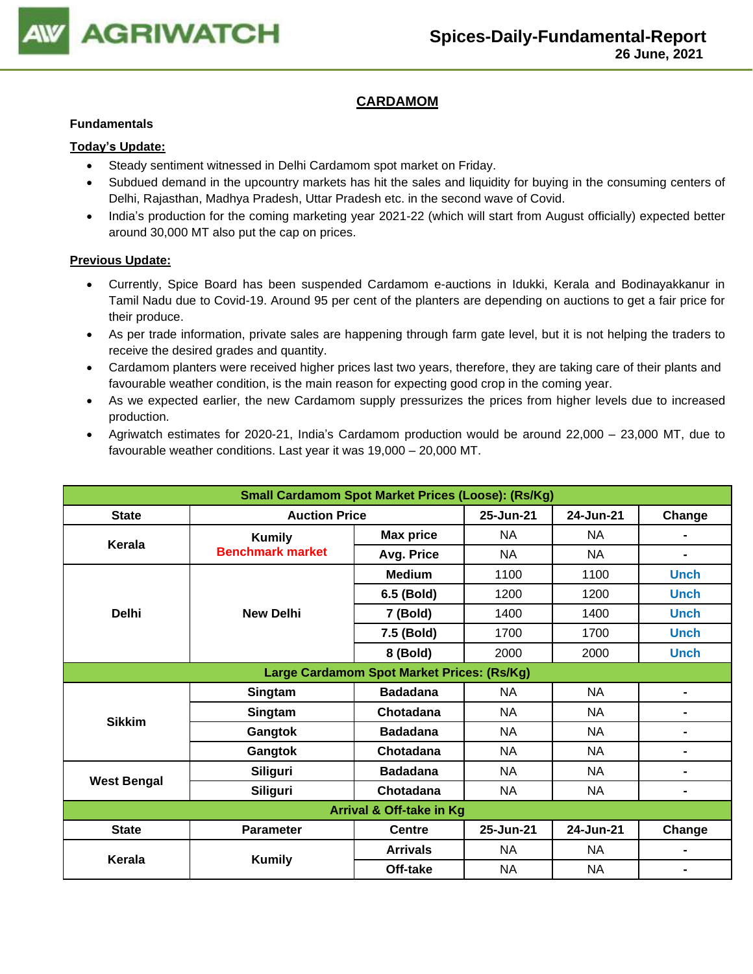

# **CARDAMOM**

#### **Fundamentals**

#### **Today's Update:**

- Steady sentiment witnessed in Delhi Cardamom spot market on Friday.
- Subdued demand in the upcountry markets has hit the sales and liquidity for buying in the consuming centers of Delhi, Rajasthan, Madhya Pradesh, Uttar Pradesh etc. in the second wave of Covid.
- India's production for the coming marketing year 2021-22 (which will start from August officially) expected better around 30,000 MT also put the cap on prices.

- Currently, Spice Board has been suspended Cardamom e-auctions in Idukki, Kerala and Bodinayakkanur in Tamil Nadu due to Covid-19. Around 95 per cent of the planters are depending on auctions to get a fair price for their produce.
- As per trade information, private sales are happening through farm gate level, but it is not helping the traders to receive the desired grades and quantity.
- Cardamom planters were received higher prices last two years, therefore, they are taking care of their plants and favourable weather condition, is the main reason for expecting good crop in the coming year.
- As we expected earlier, the new Cardamom supply pressurizes the prices from higher levels due to increased production.
- Agriwatch estimates for 2020-21, India's Cardamom production would be around 22,000 23,000 MT, due to favourable weather conditions. Last year it was 19,000 – 20,000 MT.

| <b>Small Cardamom Spot Market Prices (Loose): (Rs/Kg)</b> |                         |                                            |           |           |             |  |  |
|-----------------------------------------------------------|-------------------------|--------------------------------------------|-----------|-----------|-------------|--|--|
| <b>State</b>                                              | <b>Auction Price</b>    |                                            | 25-Jun-21 | 24-Jun-21 | Change      |  |  |
| Kerala                                                    | <b>Kumily</b>           | <b>Max price</b>                           | <b>NA</b> | <b>NA</b> |             |  |  |
|                                                           | <b>Benchmark market</b> | Avg. Price                                 | <b>NA</b> | <b>NA</b> | Ξ.          |  |  |
|                                                           |                         | <b>Medium</b>                              | 1100      | 1100      | <b>Unch</b> |  |  |
|                                                           |                         | 6.5 (Bold)                                 | 1200      | 1200      | <b>Unch</b> |  |  |
| <b>Delhi</b>                                              | <b>New Delhi</b>        | 7 (Bold)                                   | 1400      | 1400      | <b>Unch</b> |  |  |
|                                                           |                         | 7.5 (Bold)                                 | 1700      | 1700      | <b>Unch</b> |  |  |
|                                                           |                         | 8 (Bold)                                   | 2000      | 2000      | <b>Unch</b> |  |  |
|                                                           |                         | Large Cardamom Spot Market Prices: (Rs/Kg) |           |           |             |  |  |
|                                                           | Singtam                 | <b>Badadana</b>                            | NA.       | <b>NA</b> | -           |  |  |
| <b>Sikkim</b>                                             | Singtam                 | Chotadana                                  | NA.       | <b>NA</b> | -           |  |  |
|                                                           | Gangtok                 | <b>Badadana</b>                            | <b>NA</b> | <b>NA</b> | Ξ.          |  |  |
|                                                           | Gangtok                 | Chotadana                                  | NA        | <b>NA</b> | -           |  |  |
| <b>West Bengal</b>                                        | <b>Siliguri</b>         | <b>Badadana</b>                            | NA.       | <b>NA</b> | -           |  |  |
|                                                           | <b>Siliguri</b>         | Chotadana                                  | NA        | <b>NA</b> | -           |  |  |
| Arrival & Off-take in Kg                                  |                         |                                            |           |           |             |  |  |
| <b>State</b>                                              | <b>Parameter</b>        | <b>Centre</b>                              | 25-Jun-21 | 24-Jun-21 | Change      |  |  |
| Kerala                                                    | <b>Kumily</b>           | <b>Arrivals</b>                            | <b>NA</b> | <b>NA</b> |             |  |  |
|                                                           |                         | Off-take                                   | <b>NA</b> | <b>NA</b> |             |  |  |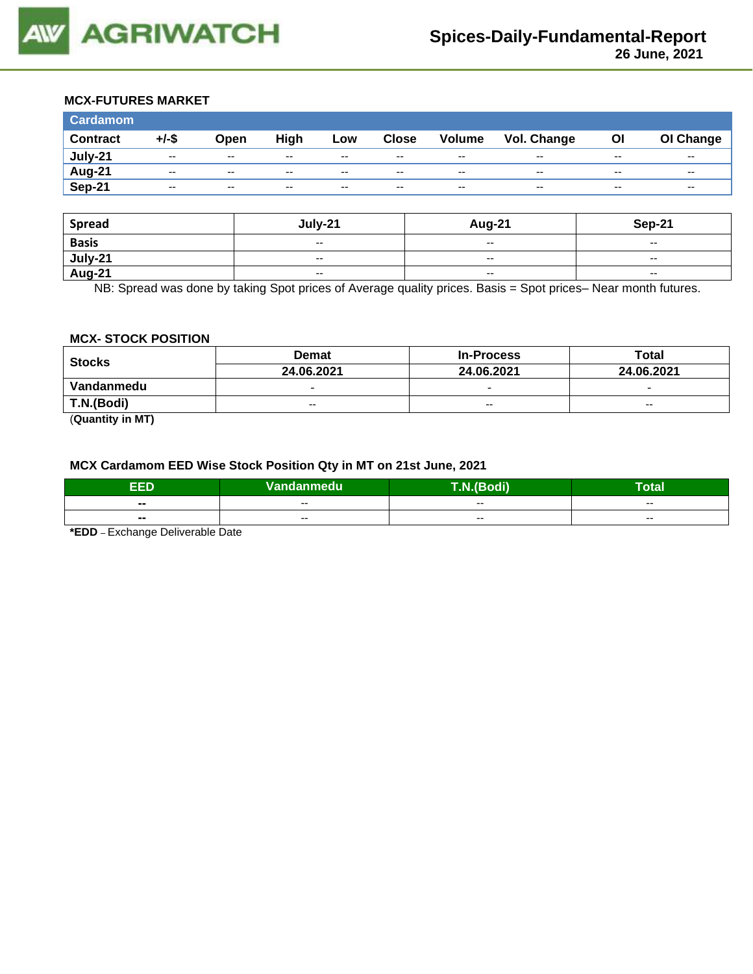

#### **MCX-FUTURES MARKET**

| <b>Cardamom</b> |       |       |       |       |              |                          |             |       |                          |
|-----------------|-------|-------|-------|-------|--------------|--------------------------|-------------|-------|--------------------------|
| <b>Contract</b> | +/-\$ | Open  | High  | Low   | <b>Close</b> | <b>Volume</b>            | Vol. Change | O     | OI Change                |
| July-21         | $- -$ | $- -$ | $- -$ | $- -$ | $- -$        | $- -$                    | $- -$       | $- -$ | $\overline{\phantom{a}}$ |
| Aug-21          | $- -$ | $- -$ | $- -$ | $- -$ | $- -$        | $- -$                    | $- -$       | $- -$ | $- -$                    |
| Sep-21          | $- -$ | $-$   | $- -$ | $- -$ | $- -$        | $\overline{\phantom{a}}$ | $- -$       | $- -$ | $- -$                    |

| <b>Spread</b> | July-21                                        | <b>Aug-21</b>            | Sep-21                   |
|---------------|------------------------------------------------|--------------------------|--------------------------|
| <b>Basis</b>  | $\hspace{0.1mm}-\hspace{0.1mm}-\hspace{0.1mm}$ | $\overline{\phantom{a}}$ | $\overline{\phantom{a}}$ |
| July-21       | $\overline{\phantom{a}}$                       | $-$                      | $\overline{\phantom{a}}$ |
| Aug-21        | $\hspace{0.1mm}-\hspace{0.1mm}-\hspace{0.1mm}$ | $\overline{\phantom{a}}$ | $\overline{\phantom{a}}$ |

NB: Spread was done by taking Spot prices of Average quality prices. Basis = Spot prices– Near month futures.

#### **MCX- STOCK POSITION**

| <b>Stocks</b> | <b>Demat</b>             | <b>In-Process</b> | Total                    |  |
|---------------|--------------------------|-------------------|--------------------------|--|
|               | 24.06.2021               | 24.06.2021        | 24.06.2021               |  |
| Vandanmedu    | $\overline{\phantom{0}}$ | -                 | $\overline{\phantom{0}}$ |  |
| T.N.(Bodi)    | $- -$                    | $-$               | $-$                      |  |
| (0.00011)     |                          |                   |                          |  |

(**Quantity in MT)**

#### **MCX Cardamom EED Wise Stock Position Qty in MT on 21st June, 2021**

| ccn<br>rе      | Vandanmedu <sup> </sup> | $\overline{a}$ . The set of $\overline{a}$<br>$\sqrt{2}$<br>$ -$<br>a an a | Total |
|----------------|-------------------------|----------------------------------------------------------------------------|-------|
| --             | --                      | --                                                                         | $-$   |
| $\blacksquare$ | $- -$                   | $- -$                                                                      | $-$   |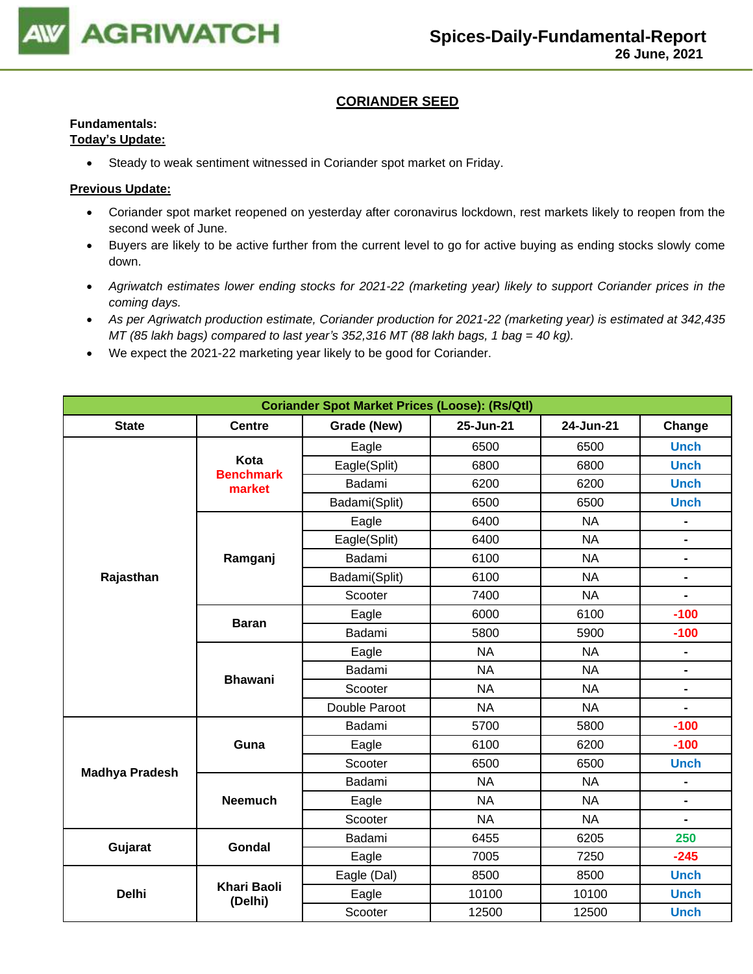

## **CORIANDER SEED**

# **Fundamentals:**

# **Today's Update:**

• Steady to weak sentiment witnessed in Coriander spot market on Friday.

- Coriander spot market reopened on yesterday after coronavirus lockdown, rest markets likely to reopen from the second week of June.
- Buyers are likely to be active further from the current level to go for active buying as ending stocks slowly come down.
- *Agriwatch estimates lower ending stocks for 2021-22 (marketing year) likely to support Coriander prices in the coming days.*
- *As per Agriwatch production estimate, Coriander production for 2021-22 (marketing year) is estimated at 342,435 MT (85 lakh bags) compared to last year's 352,316 MT (88 lakh bags, 1 bag = 40 kg).*
- We expect the 2021-22 marketing year likely to be good for Coriander.

| <b>Coriander Spot Market Prices (Loose): (Rs/Qtl)</b> |                               |               |           |           |                          |  |  |
|-------------------------------------------------------|-------------------------------|---------------|-----------|-----------|--------------------------|--|--|
| <b>State</b>                                          | <b>Centre</b>                 | Grade (New)   | 25-Jun-21 | 24-Jun-21 | Change                   |  |  |
|                                                       |                               | Eagle         | 6500      | 6500      | <b>Unch</b>              |  |  |
|                                                       | Kota<br><b>Benchmark</b>      | Eagle(Split)  | 6800      | 6800      | <b>Unch</b>              |  |  |
|                                                       | market                        | Badami        | 6200      | 6200      | <b>Unch</b>              |  |  |
|                                                       |                               | Badami(Split) | 6500      | 6500      | <b>Unch</b>              |  |  |
|                                                       |                               | Eagle         | 6400      | <b>NA</b> |                          |  |  |
|                                                       |                               | Eagle(Split)  | 6400      | <b>NA</b> | $\overline{\phantom{0}}$ |  |  |
|                                                       | Ramganj                       | Badami        | 6100      | <b>NA</b> | -                        |  |  |
| Rajasthan                                             |                               | Badami(Split) | 6100      | <b>NA</b> |                          |  |  |
|                                                       |                               | Scooter       | 7400      | <b>NA</b> | $\blacksquare$           |  |  |
|                                                       | <b>Baran</b>                  | Eagle         | 6000      | 6100      | $-100$                   |  |  |
|                                                       |                               | Badami        | 5800      | 5900      | $-100$                   |  |  |
|                                                       |                               | Eagle         | <b>NA</b> | <b>NA</b> | $\blacksquare$           |  |  |
|                                                       | <b>Bhawani</b>                | Badami        | <b>NA</b> | <b>NA</b> | $\overline{a}$           |  |  |
|                                                       |                               | Scooter       | <b>NA</b> | <b>NA</b> | $\overline{\phantom{0}}$ |  |  |
|                                                       |                               | Double Paroot | <b>NA</b> | <b>NA</b> | $\blacksquare$           |  |  |
|                                                       |                               | Badami        | 5700      | 5800      | $-100$                   |  |  |
|                                                       | Guna                          | Eagle         | 6100      | 6200      | $-100$                   |  |  |
| <b>Madhya Pradesh</b>                                 |                               | Scooter       | 6500      | 6500      | <b>Unch</b>              |  |  |
|                                                       |                               | Badami        | <b>NA</b> | <b>NA</b> | L,                       |  |  |
|                                                       | <b>Neemuch</b>                | Eagle         | <b>NA</b> | <b>NA</b> | $\blacksquare$           |  |  |
|                                                       |                               | Scooter       | <b>NA</b> | <b>NA</b> | $\blacksquare$           |  |  |
| Gujarat                                               | <b>Gondal</b>                 | Badami        | 6455      | 6205      | 250                      |  |  |
|                                                       |                               | Eagle         | 7005      | 7250      | $-245$                   |  |  |
|                                                       |                               | Eagle (Dal)   | 8500      | 8500      | <b>Unch</b>              |  |  |
| <b>Delhi</b>                                          | <b>Khari Baoli</b><br>(Delhi) | Eagle         | 10100     | 10100     | <b>Unch</b>              |  |  |
|                                                       |                               | Scooter       | 12500     | 12500     | <b>Unch</b>              |  |  |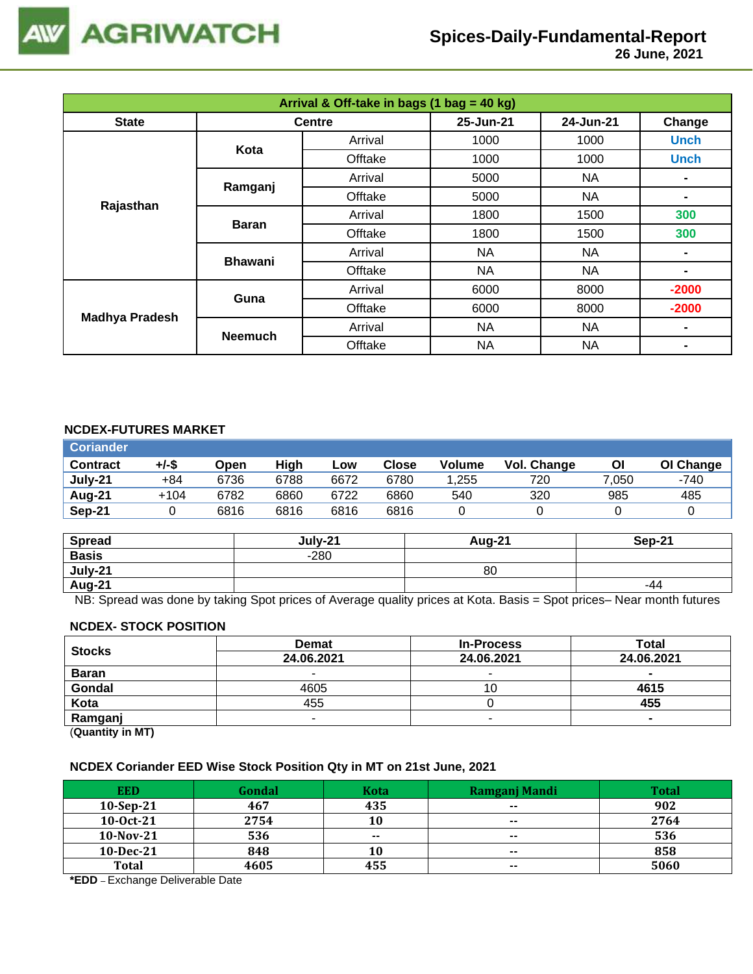

 **26 June, 2021**

| Arrival & Off-take in bags (1 bag = 40 kg) |                |               |           |           |                |  |  |
|--------------------------------------------|----------------|---------------|-----------|-----------|----------------|--|--|
| <b>State</b>                               |                | <b>Centre</b> | 25-Jun-21 | 24-Jun-21 | Change         |  |  |
|                                            | Kota           |               | 1000      | 1000      | <b>Unch</b>    |  |  |
|                                            |                | Offtake       | 1000      | 1000      | <b>Unch</b>    |  |  |
|                                            | Ramganj        | Arrival       | 5000      | <b>NA</b> | $\blacksquare$ |  |  |
| Rajasthan                                  |                | Offtake       | 5000      | <b>NA</b> | $\blacksquare$ |  |  |
|                                            | <b>Baran</b>   | Arrival       | 1800      | 1500      | 300            |  |  |
|                                            |                | Offtake       | 1800      | 1500      | 300            |  |  |
|                                            | <b>Bhawani</b> | Arrival       | <b>NA</b> | <b>NA</b> | $\blacksquare$ |  |  |
|                                            |                | Offtake       | <b>NA</b> | <b>NA</b> | $\blacksquare$ |  |  |
|                                            | Guna           | Arrival       | 6000      | 8000      | $-2000$        |  |  |
| <b>Madhya Pradesh</b>                      |                | Offtake       | 6000      | 8000      | $-2000$        |  |  |
|                                            |                | Arrival       | <b>NA</b> | <b>NA</b> | $\blacksquare$ |  |  |
|                                            | <b>Neemuch</b> | Offtake       | <b>NA</b> | <b>NA</b> | ۰              |  |  |

#### **NCDEX-FUTURES MARKET**

| <b>Coriander</b> |       |      |      |      |       |        |             |       |           |
|------------------|-------|------|------|------|-------|--------|-------------|-------|-----------|
| <b>Contract</b>  | +/-\$ | Open | High | Low  | Close | Volume | Vol. Change | ΟI    | OI Change |
| July-21          | +84   | 6736 | 6788 | 6672 | 6780  | 1.255  | 720         | 7,050 | -740      |
| Aug-21           | +104  | 6782 | 6860 | 6722 | 6860  | 540    | 320         | 985   | 485       |
| Sep-21           |       | 6816 | 6816 | 6816 | 6816  |        |             |       |           |

| <b>Spread</b>  | July-21 | Aug-21 | Sep-21 |
|----------------|---------|--------|--------|
| <b>Basis</b>   | $-280$  |        |        |
| <b>July-21</b> |         | 80     |        |
| <b>Aug-21</b>  |         |        | -44    |

NB: Spread was done by taking Spot prices of Average quality prices at Kota. Basis = Spot prices– Near month futures

#### **NCDEX- STOCK POSITION**

| <b>Stocks</b>           | <b>Demat</b> | <b>In-Process</b> | Total      |
|-------------------------|--------------|-------------------|------------|
|                         | 24.06.2021   | 24.06.2021        | 24.06.2021 |
| <b>Baran</b>            |              | -                 |            |
| Gondal                  | 4605         | ιU                | 4615       |
| Kota                    | 455          |                   | 455        |
| Ramganj                 |              |                   |            |
| (0.1222, 0.0122, 0.000) |              |                   |            |

(**Quantity in MT)**

#### **NCDEX Coriander EED Wise Stock Position Qty in MT on 21st June, 2021**

| <b>EED</b>   | Gondal | <b>Kota</b> | Ramganj Mandi | <b>Total</b> |
|--------------|--------|-------------|---------------|--------------|
| $10-Sep-21$  | 467    | 435         | $\sim$ $\sim$ | 902          |
| 10-0ct-21    | 2754   | 10          | $\sim$ $\sim$ | 2764         |
| $10-Nov-21$  | 536    | $- -$       | $- -$         | 536          |
| 10-Dec-21    | 848    | 10          | $\sim$ $\sim$ | 858          |
| <b>Total</b> | 4605   | 455         | $\sim$ $\sim$ | 5060         |